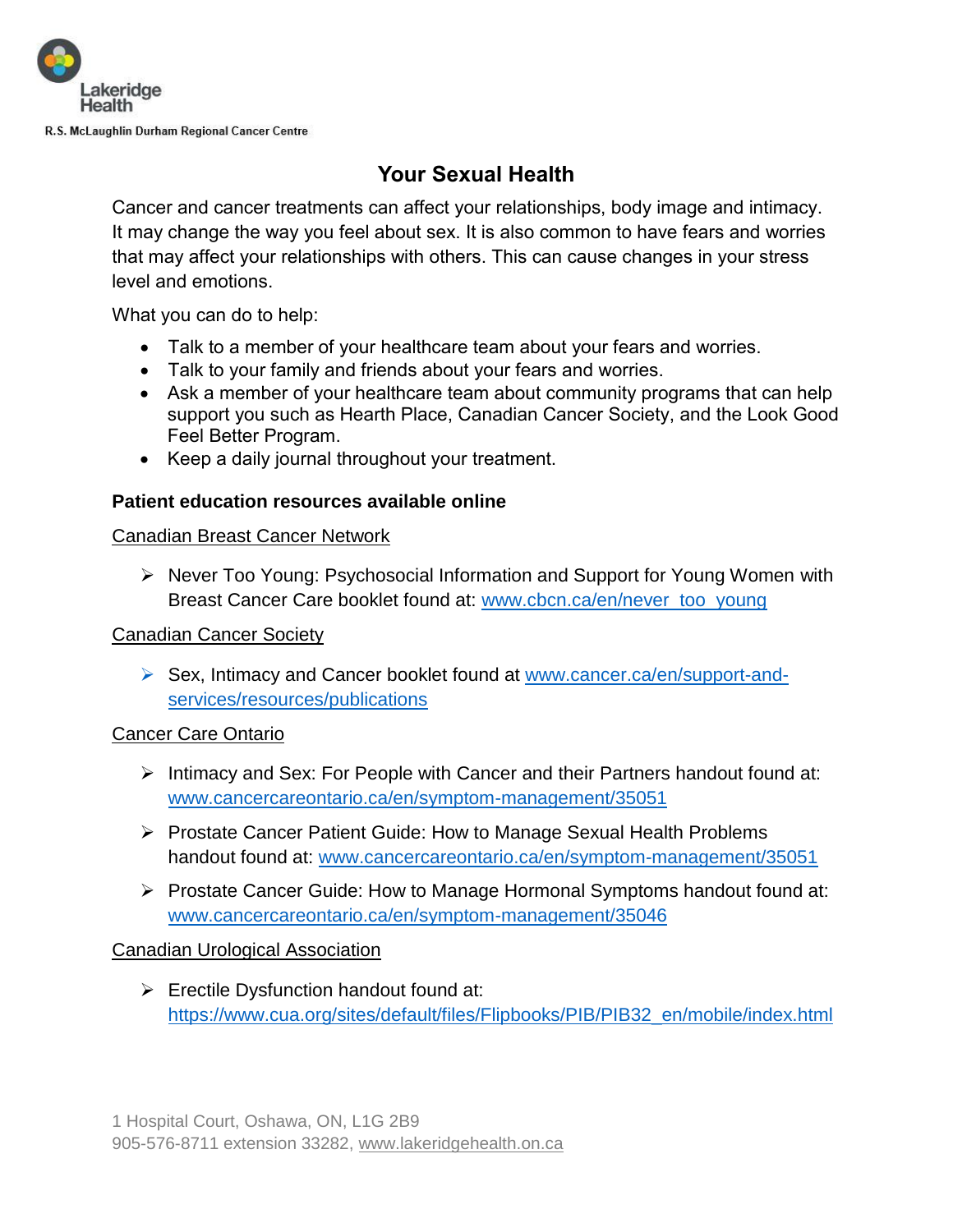

# **Your Sexual Health**

Cancer and cancer treatments can affect your relationships, body image and intimacy. It may change the way you feel about sex. It is also common to have fears and worries that may affect your relationships with others. This can cause changes in your stress level and emotions.

What you can do to help:

- Talk to a member of your healthcare team about your fears and worries.
- Talk to your family and friends about your fears and worries.
- Ask a member of your healthcare team about community programs that can help support you such as Hearth Place, Canadian Cancer Society, and the Look Good Feel Better Program.
- Keep a daily journal throughout your treatment.

### **Patient education resources available online**

### Canadian Breast Cancer Network

 Never Too Young: Psychosocial Information and Support for Young Women with Breast Cancer Care booklet found at: [www.cbcn.ca/en/never\\_too\\_young](http://www.cbcn.ca/en/never_too_young)

### Canadian Cancer Society

▶ Sex, Intimacy and Cancer booklet found at [www.cancer.ca/en/support-and](https://cancer.ca/en/cancer-information/resources/publications/sex-intimacy-and-cancer)[services/resources/publications](https://cancer.ca/en/cancer-information/resources/publications/sex-intimacy-and-cancer)

### Cancer Care Ontario

- $\triangleright$  Intimacy and Sex: For People with Cancer and their Partners handout found at: [www.cancercareontario.ca/en/symptom-management/35051](http://www.cancercareontario.ca/en/symptom-management/35051)
- ▶ Prostate Cancer Patient Guide: How to Manage Sexual Health Problems handout found at: [www.cancercareontario.ca/en/symptom-management/35051](http://www.cancercareontario.ca/en/symptom-management/35051)
- $\triangleright$  Prostate Cancer Guide: How to Manage Hormonal Symptoms handout found at: [www.cancercareontario.ca/en/symptom-management/35046](http://www.cancercareontario.ca/en/symptom-management/35046)

### Canadian Urological Association

 $\triangleright$  Erectile Dysfunction handout found at: [https://www.cua.org/sites/default/files/Flipbooks/PIB/PIB32\\_en/mobile/index.html](https://www.cua.org/sites/default/files/Flipbooks/PIB/PIB32_en/mobile/index.html)